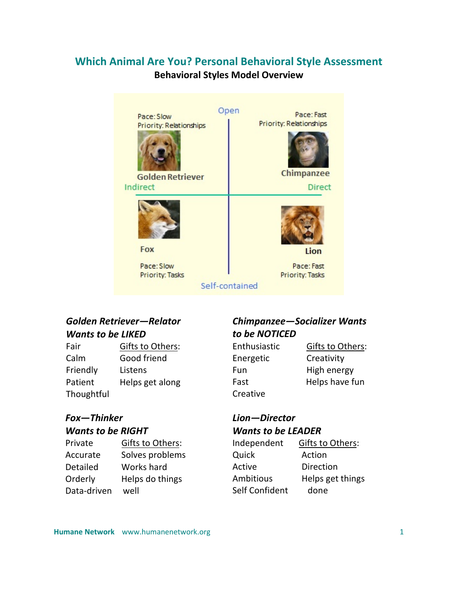# **Which Animal Are You? Personal Behavioral Style Assessment**

# **Behavioral Styles Model Overview**

| Pace: Slow<br>Priority: Relationships<br><b>Golden Retriever</b><br>Indirect | Open<br>Pace: Fast<br>Priority: Relationships<br>Chimpanzee<br><b>Direct</b> |
|------------------------------------------------------------------------------|------------------------------------------------------------------------------|
| <b>Fox</b>                                                                   | Lion                                                                         |
| Pace: Slow<br><b>Priority: Tasks</b>                                         | Pace: Fast<br><b>Priority: Tasks</b><br>Self-contained                       |

# *Golden Retriever—Relator Wants to be LIKED*

| Fair       | Gifts to Others: |
|------------|------------------|
| Calm       | Good friend      |
| Friendly   | Listens          |
| Patient    | Helps get along  |
| Thoughtful |                  |

# *Fox—Thinker*

|           | <b>Wants to be RIGHT</b> |  |
|-----------|--------------------------|--|
| Dirichlet | $C$ ifte to $\bigcap$ th |  |

| Private         | Gifts to Others: |
|-----------------|------------------|
| Accurate        | Solves problems  |
| <b>Detailed</b> | Works hard       |
| Orderly         | Helps do things  |
| Data-driven     | well             |

# *Chimpanzee—Socializer Wants to be NOTICED*

| Enthusiastic | Gifts to Others: |
|--------------|------------------|
| Energetic    | Creativity       |
| Fun          | High energy      |
| Fast         | Helps have fun   |
| Creative     |                  |

# *Lion—Director Wants to be LEADER*

| Independent           | Gifts to Others: |
|-----------------------|------------------|
| Quick                 | Action           |
| Active                | Direction        |
| <b>Ambitious</b>      | Helps get things |
| <b>Self Confident</b> | done             |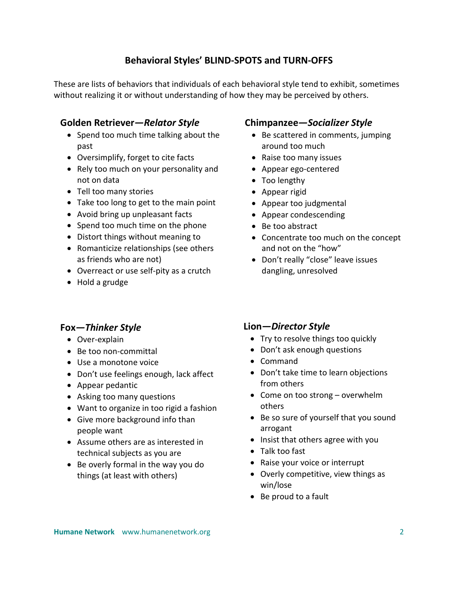## **Behavioral Styles' BLIND-SPOTS and TURN-OFFS**

These are lists of behaviors that individuals of each behavioral style tend to exhibit, sometimes without realizing it or without understanding of how they may be perceived by others.

#### **Golden Retriever***—Relator Style*

- Spend too much time talking about the past
- Oversimplify, forget to cite facts
- Rely too much on your personality and not on data
- Tell too many stories
- Take too long to get to the main point
- Avoid bring up unpleasant facts
- Spend too much time on the phone
- Distort things without meaning to
- Romanticize relationships (see others as friends who are not)
- Overreact or use self-pity as a crutch
- Hold a grudge

### **Fox***—Thinker Style*

- Over-explain
- Be too non-committal
- Use a monotone voice
- Don't use feelings enough, lack affect
- Appear pedantic
- Asking too many questions
- Want to organize in too rigid a fashion
- Give more background info than people want
- Assume others are as interested in technical subjects as you are
- Be overly formal in the way you do things (at least with others)

#### **Chimpanzee***—Socializer Style*

- Be scattered in comments, jumping around too much
- Raise too many issues
- Appear ego-centered
- Too lengthy
- Appear rigid
- Appear too judgmental
- Appear condescending
- Be too abstract
- Concentrate too much on the concept and not on the "how"
- Don't really "close" leave issues dangling, unresolved

#### **Lion***—Director Style*

- Try to resolve things too quickly
- Don't ask enough questions
- Command
- Don't take time to learn objections from others
- Come on too strong overwhelm others
- Be so sure of yourself that you sound arrogant
- Insist that others agree with you
- Talk too fast
- Raise your voice or interrupt
- Overly competitive, view things as win/lose
- Be proud to a fault